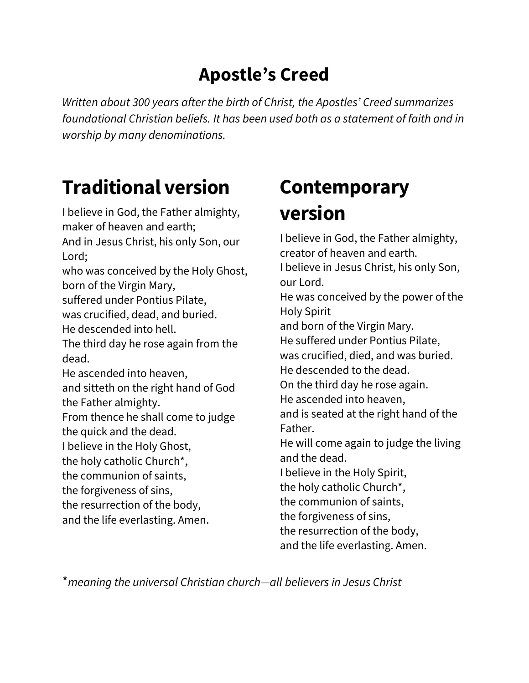### **Apostle's Creed**

*Written about 300 years after the birth of Christ, the Apostles' Creed summarizes foundational Christian beliefs. It has been used both as a statement of faith and in worship by many denominations.*

## **Traditional version**

I believe in God, the Father almighty, maker of heaven and earth; And in Jesus Christ, his only Son, our Lord; who was conceived by the Holy Ghost, born of the Virgin Mary, suffered under Pontius Pilate, was crucified, dead, and buried. He descended into hell. The third day he rose again from the dead. He ascended into heaven, and sitteth on the right hand of God the Father almighty. From thence he shall come to judge the quick and the dead. I believe in the Holy Ghost, the holy catholic Church\*, the communion of saints, the forgiveness of sins, the resurrection of the body, and the life everlasting. Amen.

# **Contemporary version**

I believe in God, the Father almighty, creator of heaven and earth. I believe in Jesus Christ, his only Son, our Lord. He was conceived by the power of the Holy Spirit and born of the Virgin Mary. He suffered under Pontius Pilate, was crucified, died, and was buried. He descended to the dead. On the third day he rose again. He ascended into heaven, and is seated at the right hand of the Father. He will come again to judge the living and the dead. I believe in the Holy Spirit, the holy catholic Church\*, the communion of saints, the forgiveness of sins, the resurrection of the body, and the life everlasting. Amen.

\**meaning the universal Christian church—all believers in Jesus Christ*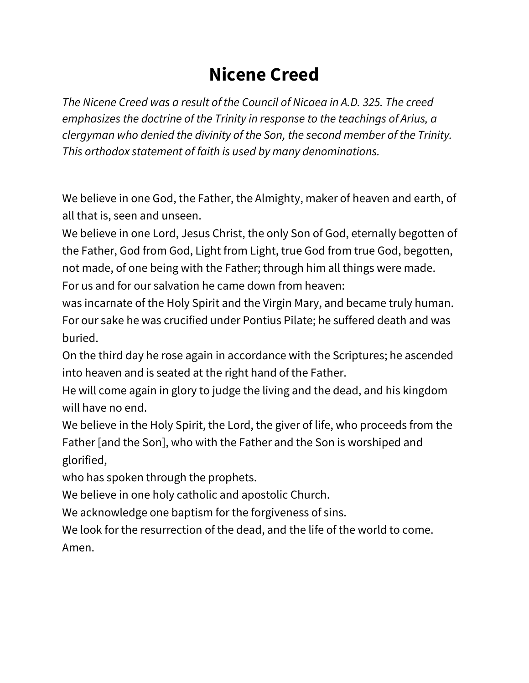### **Nicene Creed**

*The Nicene Creed was a result of the Council of Nicaea in A.D. 325. The creed emphasizes the doctrine of the Trinity in response to the teachings of Arius, a clergyman who denied the divinity of the Son, the second member of the Trinity. This orthodox statement of faith is used by many denominations.*

We believe in one God, the Father, the Almighty, maker of heaven and earth, of all that is, seen and unseen.

We believe in one Lord, Jesus Christ, the only Son of God, eternally begotten of the Father, God from God, Light from Light, true God from true God, begotten, not made, of one being with the Father; through him all things were made. For us and for our salvation he came down from heaven:

was incarnate of the Holy Spirit and the Virgin Mary, and became truly human. For our sake he was crucified under Pontius Pilate; he suffered death and was buried.

On the third day he rose again in accordance with the Scriptures; he ascended into heaven and is seated at the right hand of the Father.

He will come again in glory to judge the living and the dead, and his kingdom will have no end.

We believe in the Holy Spirit, the Lord, the giver of life, who proceeds from the Father [and the Son], who with the Father and the Son is worshiped and glorified,

who has spoken through the prophets.

We believe in one holy catholic and apostolic Church.

We acknowledge one baptism for the forgiveness of sins.

We look for the resurrection of the dead, and the life of the world to come. Amen.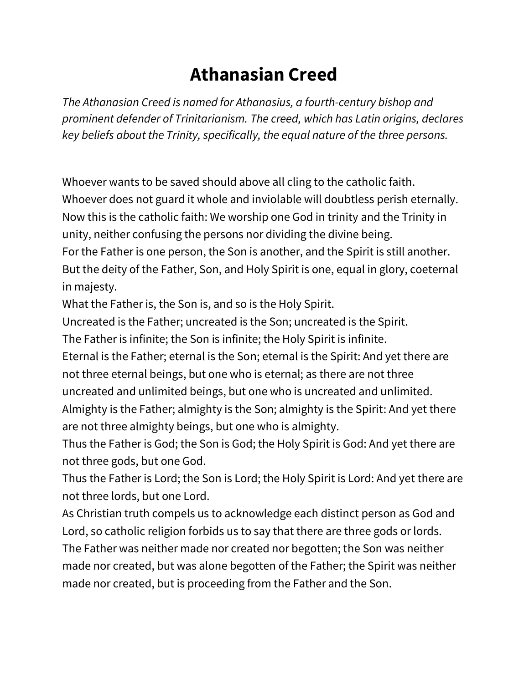#### **Athanasian Creed**

*The Athanasian Creed is named for Athanasius, a fourth-century bishop and prominent defender of Trinitarianism. The creed, which has Latin origins, declares key beliefs about the Trinity, specifically, the equal nature of the three persons.*

Whoever wants to be saved should above all cling to the catholic faith. Whoever does not guard it whole and inviolable will doubtless perish eternally. Now this is the catholic faith: We worship one God in trinity and the Trinity in unity, neither confusing the persons nor dividing the divine being. For the Father is one person, the Son is another, and the Spirit is still another. But the deity of the Father, Son, and Holy Spirit is one, equal in glory, coeternal in majesty.

What the Father is, the Son is, and so is the Holy Spirit.

Uncreated is the Father; uncreated is the Son; uncreated is the Spirit.

The Father is infinite; the Son is infinite; the Holy Spirit is infinite.

Eternal is the Father; eternal is the Son; eternal is the Spirit: And yet there are not three eternal beings, but one who is eternal; as there are not three uncreated and unlimited beings, but one who is uncreated and unlimited.

Almighty is the Father; almighty is the Son; almighty is the Spirit: And yet there are not three almighty beings, but one who is almighty.

Thus the Father is God; the Son is God; the Holy Spirit is God: And yet there are not three gods, but one God.

Thus the Father is Lord; the Son is Lord; the Holy Spirit is Lord: And yet there are not three lords, but one Lord.

As Christian truth compels us to acknowledge each distinct person as God and Lord, so catholic religion forbids us to say that there are three gods or lords. The Father was neither made nor created nor begotten; the Son was neither made nor created, but was alone begotten of the Father; the Spirit was neither made nor created, but is proceeding from the Father and the Son.